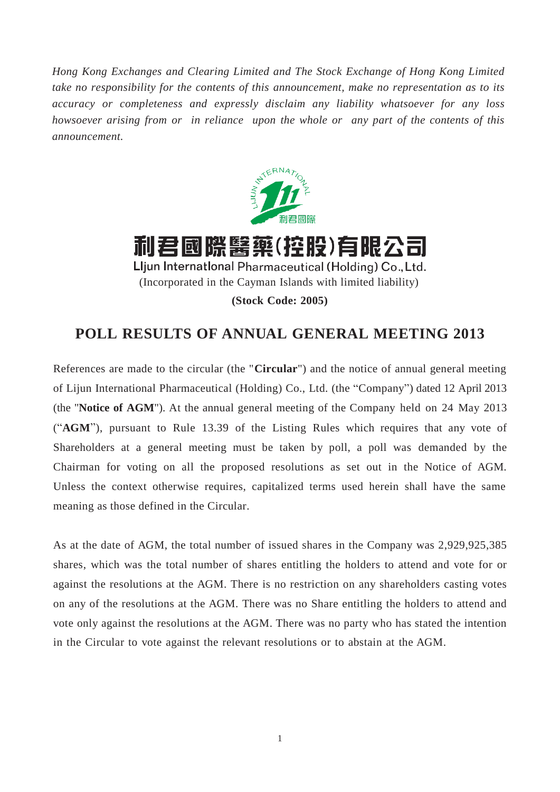*Hong Kong Exchanges and Clearing Limited and The Stock Exchange of Hong Kong Limited take no responsibility for the contents of this announcement, make no representation as to its accuracy or completeness and expressly disclaim any liability whatsoever for any loss howsoever arising from or in reliance upon the whole or any part of the contents of this announcement.*



利君國際醫藥(控股)有限公司 Lljun International Pharmaceutical (Holding) Co., Ltd. (Incorporated in the Cayman Islands with limited liability) **(Stock Code: 2005)**

## **POLL RESULTS OF ANNUAL GENERAL MEETING 2013**

References are made to the circular (the "**Circular**") and the notice of annual general meeting of Lijun International Pharmaceutical (Holding) Co., Ltd. (the "Company") dated 12 April 2013 (the "**Notice of AGM**"). At the annual general meeting of the Company held on 24 May 2013 ("**AGM**"), pursuant to Rule 13.39 of the Listing Rules which requires that any vote of Shareholders at a general meeting must be taken by poll, a poll was demanded by the Chairman for voting on all the proposed resolutions as set out in the Notice of AGM. Unless the context otherwise requires, capitalized terms used herein shall have the same meaning as those defined in the Circular.

As at the date of AGM, the total number of issued shares in the Company was 2,929,925,385 shares, which was the total number of shares entitling the holders to attend and vote for or against the resolutions at the AGM. There is no restriction on any shareholders casting votes on any of the resolutions at the AGM. There was no Share entitling the holders to attend and vote only against the resolutions at the AGM. There was no party who has stated the intention in the Circular to vote against the relevant resolutions or to abstain at the AGM.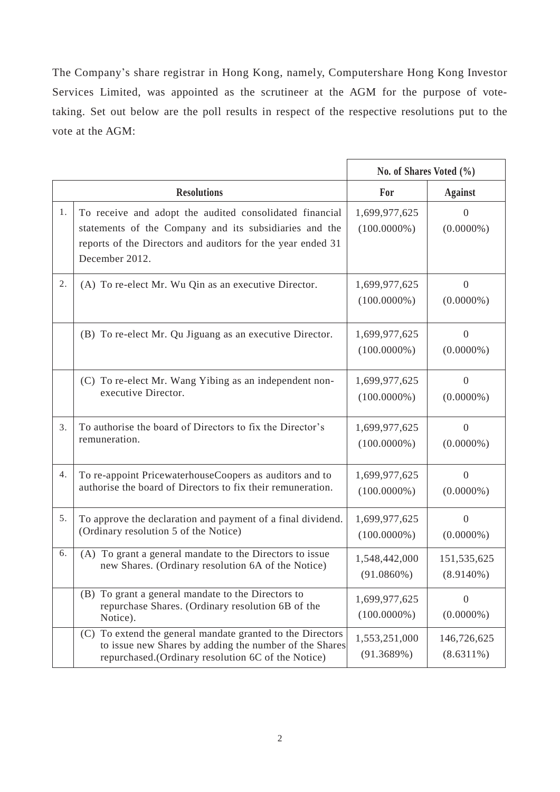The Company's share registrar in Hong Kong, namely, Computershare Hong Kong Investor Services Limited, was appointed as the scrutineer at the AGM for the purpose of votetaking. Set out below are the poll results in respect of the respective resolutions put to the vote at the AGM:

|    |                                                                                                                                                                                                    | No. of Shares Voted $(\% )$     |                                |
|----|----------------------------------------------------------------------------------------------------------------------------------------------------------------------------------------------------|---------------------------------|--------------------------------|
|    | <b>Resolutions</b>                                                                                                                                                                                 | For                             | <b>Against</b>                 |
| 1. | To receive and adopt the audited consolidated financial<br>statements of the Company and its subsidiaries and the<br>reports of the Directors and auditors for the year ended 31<br>December 2012. | 1,699,977,625<br>$(100.0000\%)$ | $\overline{0}$<br>$(0.0000\%)$ |
| 2. | (A) To re-elect Mr. Wu Qin as an executive Director.                                                                                                                                               | 1,699,977,625<br>$(100.0000\%)$ | $\mathbf{0}$<br>$(0.0000\%)$   |
|    | (B) To re-elect Mr. Qu Jiguang as an executive Director.                                                                                                                                           | 1,699,977,625<br>$(100.0000\%)$ | $\theta$<br>$(0.0000\%)$       |
|    | (C) To re-elect Mr. Wang Yibing as an independent non-<br>executive Director.                                                                                                                      | 1,699,977,625<br>$(100.0000\%)$ | $\overline{0}$<br>$(0.0000\%)$ |
| 3. | To authorise the board of Directors to fix the Director's<br>remuneration.                                                                                                                         | 1,699,977,625<br>$(100.0000\%)$ | $\overline{0}$<br>$(0.0000\%)$ |
| 4. | To re-appoint PricewaterhouseCoopers as auditors and to<br>authorise the board of Directors to fix their remuneration.                                                                             | 1,699,977,625<br>$(100.0000\%)$ | $\mathbf{0}$<br>$(0.0000\%)$   |
| 5. | To approve the declaration and payment of a final dividend.<br>(Ordinary resolution 5 of the Notice)                                                                                               | 1,699,977,625<br>$(100.0000\%)$ | $\theta$<br>$(0.0000\%)$       |
| 6. | (A) To grant a general mandate to the Directors to issue<br>new Shares. (Ordinary resolution 6A of the Notice)                                                                                     | 1,548,442,000<br>$(91.0860\%)$  | 151,535,625<br>$(8.9140\%)$    |
|    | (B) To grant a general mandate to the Directors to<br>repurchase Shares. (Ordinary resolution 6B of the<br>Notice).                                                                                | 1,699,977,625<br>$(100.0000\%)$ | $\theta$<br>$(0.0000\%)$       |
|    | To extend the general mandate granted to the Directors<br>(C)<br>to issue new Shares by adding the number of the Shares<br>repurchased.(Ordinary resolution 6C of the Notice)                      | 1,553,251,000<br>(91.3689%)     | 146,726,625<br>$(8.6311\%)$    |